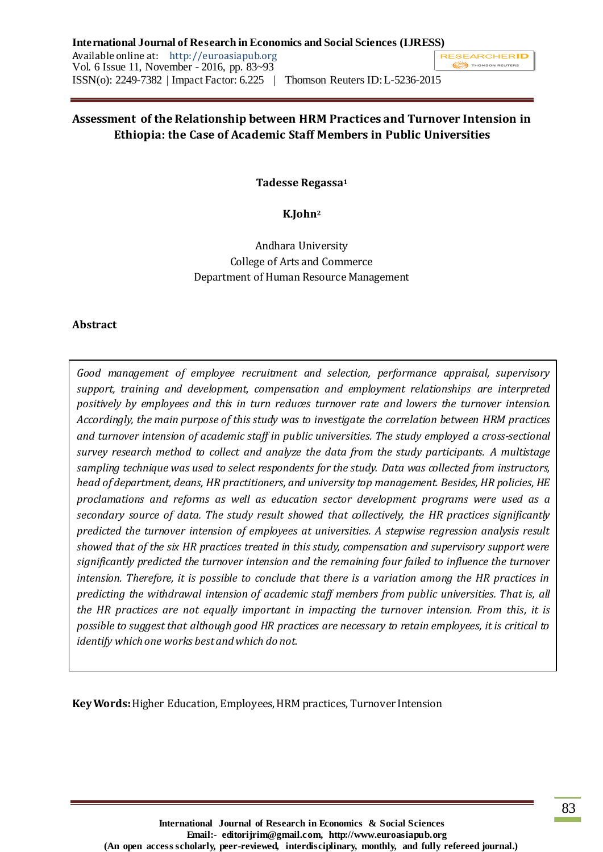## **Assessment of the Relationship between HRM Practices and Turnover Intension in Ethiopia: the Case of Academic Staff Members in Public Universities**

**Tadesse Regassa<sup>1</sup>**

**K.John<sup>2</sup>**

Andhara University College of Arts and Commerce Department of Human Resource Management

#### **Abstract**

*Good management of employee recruitment and selection, performance appraisal, supervisory support, training and development, compensation and employment relationships are interpreted positively by employees and this in turn reduces turnover rate and lowers the turnover intension. Accordingly, the main purpose of this study was to investigate the correlation between HRM practices and turnover intension of academic staff in public universities. The study employed a cross-sectional survey research method to collect and analyze the data from the study participants. A multistage sampling technique was used to select respondents for the study. Data was collected from instructors, head of department, deans, HR practitioners, and university top management. Besides, HR policies, HE proclamations and reforms as well as education sector development programs were used as a secondary source of data. The study result showed that collectively, the HR practices significantly predicted the turnover intension of employees at universities. A stepwise regression analysis result showed that of the six HR practices treated in this study, compensation and supervisory support were significantly predicted the turnover intension and the remaining four failed to influence the turnover intension. Therefore, it is possible to conclude that there is a variation among the HR practices in predicting the withdrawal intension of academic staff members from public universities. That is, all the HR practices are not equally important in impacting the turnover intension. From this, it is possible to suggest that although good HR practices are necessary to retain employees, it is critical to identify which one works best and which do not.*

**Key Words:**Higher Education, Employees, HRM practices, Turnover Intension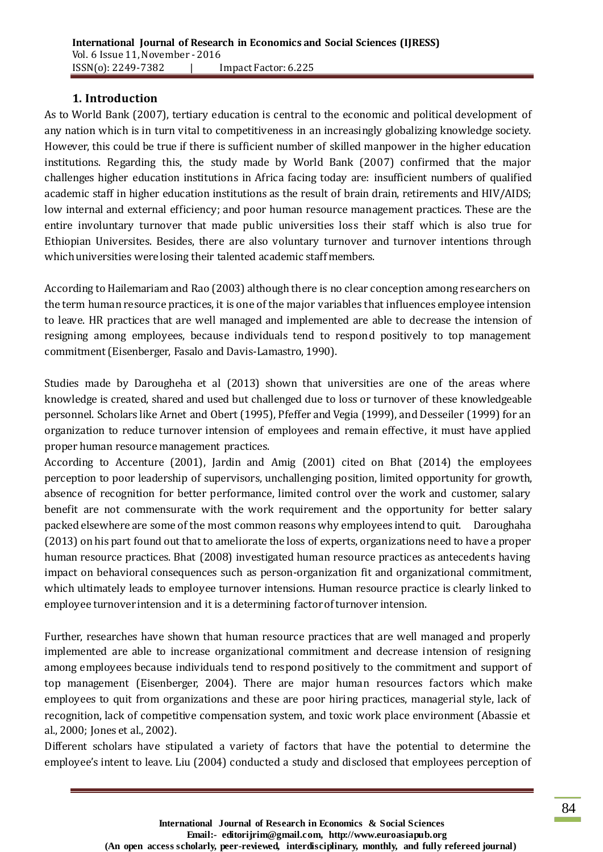### **1. Introduction**

As to World Bank (2007), tertiary education is central to the economic and political development of any nation which is in turn vital to competitiveness in an increasingly globalizing knowledge society. However, this could be true if there is sufficient number of skilled manpower in the higher education institutions. Regarding this, the study made by World Bank (2007) confirmed that the major challenges higher education institutions in Africa facing today are: insufficient numbers of qualified academic staff in higher education institutions as the result of brain drain, retirements and HIV/AIDS; low internal and external efficiency; and poor human resource management practices. These are the entire involuntary turnover that made public universities loss their staff which is also true for Ethiopian Universites. Besides, there are also voluntary turnover and turnover intentions through which universities were losing their talented academic staff members.

According to Hailemariam and Rao (2003) although there is no clear conception among researchers on the term human resource practices, it is one of the major variables that influences employee intension to leave. HR practices that are well managed and implemented are able to decrease the intension of resigning among employees, because individuals tend to respond positively to top management commitment (Eisenberger, Fasalo and Davis-Lamastro, 1990).

Studies made by Darougheha et al (2013) shown that universities are one of the areas where knowledge is created, shared and used but challenged due to loss or turnover of these knowledgeable personnel. Scholars like Arnet and Obert (1995), Pfeffer and Vegia (1999), and Desseiler (1999) for an organization to reduce turnover intension of employees and remain effective, it must have applied proper human resource management practices.

According to Accenture (2001), Jardin and Amig (2001) cited on Bhat (2014) the employees perception to poor leadership of supervisors, unchallenging position, limited opportunity for growth, absence of recognition for better performance, limited control over the work and customer, salary benefit are not commensurate with the work requirement and the opportunity for better salary packed elsewhere are some of the most common reasons why employees intend to quit. Daroughaha (2013) on his part found out that to ameliorate the loss of experts, organizations need to have a proper human resource practices. Bhat (2008) investigated human resource practices as antecedents having impact on behavioral consequences such as person-organization fit and organizational commitment, which ultimately leads to employee turnover intensions. Human resource practice is clearly linked to employee turnover intension and it is a determining factor of turnover intension.

Further, researches have shown that human resource practices that are well managed and properly implemented are able to increase organizational commitment and decrease intension of resigning among employees because individuals tend to respond positively to the commitment and support of top management (Eisenberger, 2004). There are major human resources factors which make employees to quit from organizations and these are poor hiring practices, managerial style, lack of recognition, lack of competitive compensation system, and toxic work place environment (Abassie et al., 2000; Jones et al., 2002).

Different scholars have stipulated a variety of factors that have the potential to determine the employee's intent to leave. Liu (2004) conducted a study and disclosed that employees perception of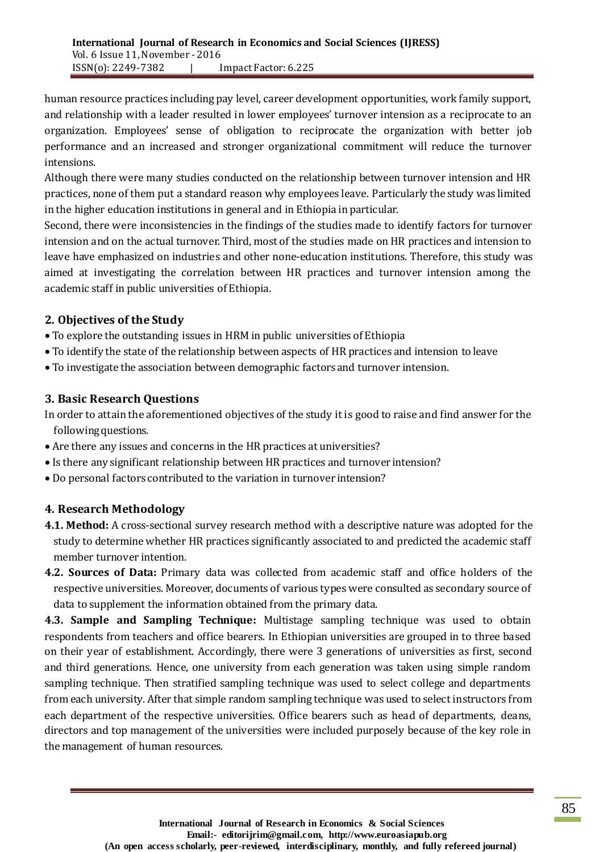human resource practices including pay level, career development opportunities, work family support, and relationship with a leader resulted in lower employees' turnover intension as a reciprocate to an organization. Employees' sense of obligation to reciprocate the organization with better job performance and an increased and stronger organizational commitment will reduce the turnover intensions.

Although there were many studies conducted on the relationship between turnover intension and HR practices, none of them put a standard reason why employees leave. Particularly the study was limited in the higher education institutions in general and in Ethiopia in particular.

Second, there were inconsistencies in the findings of the studies made to identify factors for turnover intension and on the actual turnover. Third, most of the studies made on HR practices and intension to leave have emphasized on industries and other none-education institutions. Therefore, this study was aimed at investigating the correlation between HR practices and turnover intension among the academic staff in public universities of Ethiopia.

# **2. Objectives of the Study**

- To explore the outstanding issues in HRM in public universities of Ethiopia
- To identify the state of the relationship between aspects of HR practices and intension to leave
- To investigate the association between demographic factors and turnover intension.

# **3. Basic Research Questions**

In order to attain the aforementioned objectives of the study it is good to raise and find answer for the following questions.

- Are there any issues and concerns in the HR practices at universities?
- Is there any significant relationship between HR practices and turnover intension?
- Do personal factors contributed to the variation in turnover intension?

# **4. Research Methodology**

- **4.1. Method:** A cross-sectional survey research method with a descriptive nature was adopted for the study to determine whether HR practices significantly associated to and predicted the academic staff member turnover intention.
- **4.2. Sources of Data:** Primary data was collected from academic staff and office holders of the respective universities. Moreover, documents of various types were consulted as secondary source of data to supplement the information obtained from the primary data.

**4.3. Sample and Sampling Technique:** Multistage sampling technique was used to obtain respondents from teachers and office bearers. In Ethiopian universities are grouped in to three based on their year of establishment. Accordingly, there were 3 generations of universities as first, second and third generations. Hence, one university from each generation was taken using simple random sampling technique. Then stratified sampling technique was used to select college and departments from each university. After that simple random sampling technique was used to select instructors from each department of the respective universities. Office bearers such as head of departments, deans, directors and top management of the universities were included purposely because of the key role in the management of human resources.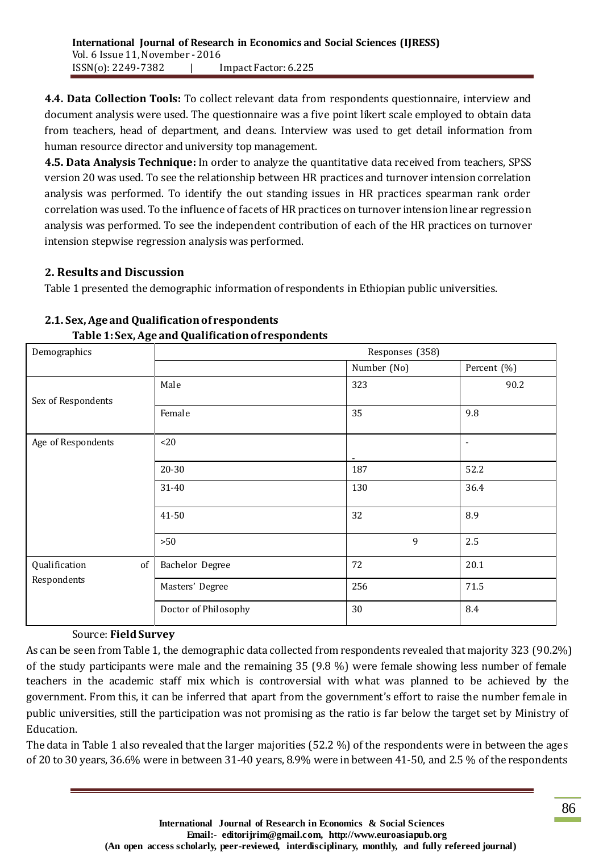**4.4. Data Collection Tools:** To collect relevant data from respondents questionnaire, interview and document analysis were used. The questionnaire was a five point likert scale employed to obtain data from teachers, head of department, and deans. Interview was used to get detail information from human resource director and university top management.

**4.5. Data Analysis Technique:** In order to analyze the quantitative data received from teachers, SPSS version 20 was used. To see the relationship between HR practices and turnover intension correlation analysis was performed. To identify the out standing issues in HR practices spearman rank order correlation was used. To the influence of facets of HR practices on turnover intension linear regression analysis was performed. To see the independent contribution of each of the HR practices on turnover intension stepwise regression analysis was performed.

# **2. Results and Discussion**

Table 1 presented the demographic information of respondents in Ethiopian public universities.

| ັ<br>Demographics           |                        | Responses (358) |                |
|-----------------------------|------------------------|-----------------|----------------|
|                             |                        | Number (No)     | Percent (%)    |
| Sex of Respondents          | Male                   | 323             | 90.2           |
|                             | Female                 | 35              | 9.8            |
| Age of Respondents          | <20                    |                 | $\blacksquare$ |
|                             | 20-30                  | 187             | 52.2           |
|                             | 31-40                  | 130             | 36.4           |
|                             | 41-50                  | 32              | 8.9            |
|                             | >50                    | 9               | 2.5            |
| $\sigma f$<br>Qualification | <b>Bachelor Degree</b> | 72              | 20.1           |
| Respondents                 | Masters' Degree        | 256             | 71.5           |
|                             | Doctor of Philosophy   | 30              | 8.4            |

# **2.1. Sex, Age and Qualification of respondents Table 1: Sex, Age and Qualification of respondents**

## Source: **Field Survey**

As can be seen from Table 1, the demographic data collected from respondents revealed that majority 323 (90.2%) of the study participants were male and the remaining 35 (9.8 %) were female showing less number of female teachers in the academic staff mix which is controversial with what was planned to be achieved by the government. From this, it can be inferred that apart from the government's effort to raise the number female in public universities, still the participation was not promising as the ratio is far below the target set by Ministry of Education.

The data in Table 1 also revealed that the larger majorities (52.2 %) of the respondents were in between the ages of 20 to 30 years, 36.6% were in between 31-40 years, 8.9% were in between 41-50, and 2.5 % of the respondents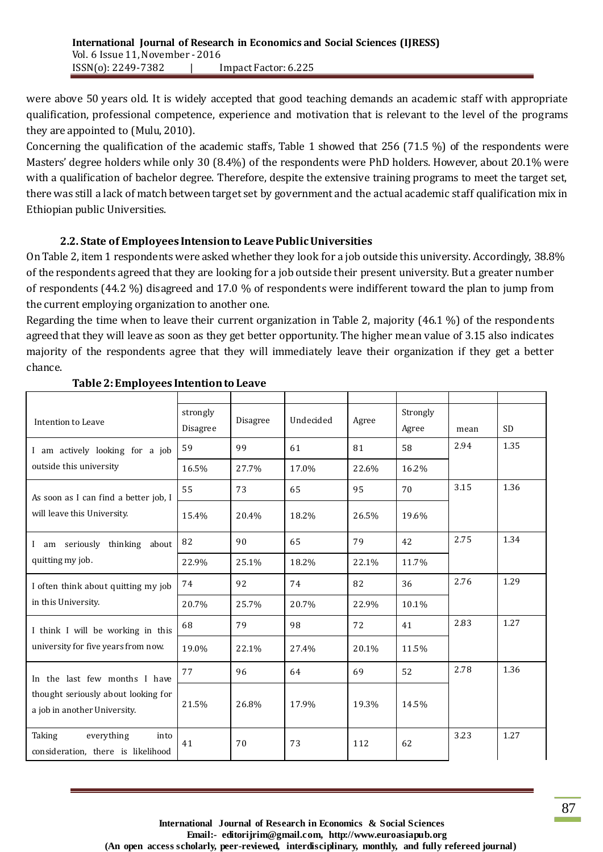were above 50 years old. It is widely accepted that good teaching demands an academic staff with appropriate qualification, professional competence, experience and motivation that is relevant to the level of the programs they are appointed to (Mulu, 2010).

Concerning the qualification of the academic staffs, Table 1 showed that 256 (71.5 %) of the respondents were Masters' degree holders while only 30 (8.4%) of the respondents were PhD holders. However, about 20.1% were with a qualification of bachelor degree. Therefore, despite the extensive training programs to meet the target set, there was still a lack of match between target set by government and the actual academic staff qualification mix in Ethiopian public Universities.

#### **2.2. State of Employees Intension to Leave Public Universities**

On Table 2, item 1 respondents were asked whether they look for a job outside this university. Accordingly, 38.8% of the respondents agreed that they are looking for a job outside their present university. But a greater number of respondents (44.2 %) disagreed and 17.0 % of respondents were indifferent toward the plan to jump from the current employing organization to another one.

Regarding the time when to leave their current organization in Table 2, majority (46.1 %) of the respondents agreed that they will leave as soon as they get better opportunity. The higher mean value of 3.15 also indicates majority of the respondents agree that they will immediately leave their organization if they get a better chance.

| Intention to Leave                                                  | strongly<br>Disagree | Disagree | Undecided | Agree | Strongly<br>Agree | mean | <b>SD</b> |
|---------------------------------------------------------------------|----------------------|----------|-----------|-------|-------------------|------|-----------|
| I am actively looking for a job                                     | 59                   | 99       | 61        | 81    | 58                | 2.94 | 1.35      |
| outside this university                                             | 16.5%                | 27.7%    | 17.0%     | 22.6% | 16.2%             |      |           |
| As soon as I can find a better job, I                               | 55                   | 73       | 65        | 95    | 70                | 3.15 | 1.36      |
| will leave this University.                                         | 15.4%                | 20.4%    | 18.2%     | 26.5% | 19.6%             |      |           |
| am seriously thinking about<br>$\mathbf{I}$                         | 82                   | 90       | 65        | 79    | 42                | 2.75 | 1.34      |
| quitting my job.                                                    | 22.9%                | 25.1%    | 18.2%     | 22.1% | 11.7%             |      |           |
| I often think about quitting my job                                 | 74                   | 92       | 74        | 82    | 36                | 2.76 | 1.29      |
| in this University.                                                 | 20.7%                | 25.7%    | 20.7%     | 22.9% | 10.1%             |      |           |
| I think I will be working in this                                   | 68                   | 79       | 98        | 72    | 41                | 2.83 | 1.27      |
| university for five years from now.                                 | 19.0%                | 22.1%    | 27.4%     | 20.1% | 11.5%             |      |           |
| In the last few months I have                                       | 77                   | 96       | 64        | 69    | 52                | 2.78 | 1.36      |
| thought seriously about looking for<br>a job in another University. | 21.5%                | 26.8%    | 17.9%     | 19.3% | 14.5%             |      |           |
| everything<br>Taking<br>into<br>consideration, there is likelihood  | 41                   | 70       | 73        | 112   | 62                | 3.23 | 1.27      |

#### **Table 2: Employees Intention to Leave**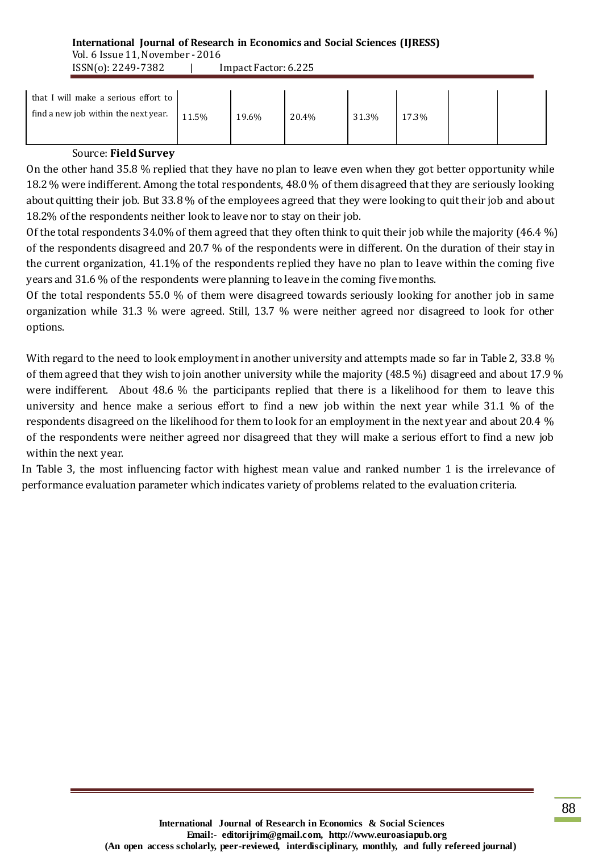#### **International Journal of Research in Economics and Social Sciences (IJRESS)** Vol. 6 Issue 11, November - 2016

ISSN(o): 2249-7382 | Impact Factor: 6.225

| that I will make a serious effort to<br>find a new job within the next year. | 11.5% | 19.6% | 20.4% | 31.3% | 17.3% |  |
|------------------------------------------------------------------------------|-------|-------|-------|-------|-------|--|
| ----<br>$\sim$                                                               |       |       |       |       |       |  |

#### Source: **Field Survey**

On the other hand 35.8 % replied that they have no plan to leave even when they got better opportunity while 18.2 % were indifferent. Among the total respondents, 48.0 % of them disagreed that they are seriously looking about quitting their job. But 33.8 % of the employees agreed that they were looking to quit their job and about 18.2% of the respondents neither look to leave nor to stay on their job.

Of the total respondents 34.0% of them agreed that they often think to quit their job while the majority (46.4 %) of the respondents disagreed and 20.7 % of the respondents were in different. On the duration of their stay in the current organization, 41.1% of the respondents replied they have no plan to leave within the coming five years and 31.6 % of the respondents were planning to leave in the coming five months.

Of the total respondents 55.0 % of them were disagreed towards seriously looking for another job in same organization while 31.3 % were agreed. Still, 13.7 % were neither agreed nor disagreed to look for other options.

With regard to the need to look employment in another university and attempts made so far in Table 2, 33.8 % of them agreed that they wish to join another university while the majority (48.5 %) disagreed and about 17.9 % were indifferent. About 48.6 % the participants replied that there is a likelihood for them to leave this university and hence make a serious effort to find a new job within the next year while 31.1 % of the respondents disagreed on the likelihood for them to look for an employment in the next year and about 20.4 % of the respondents were neither agreed nor disagreed that they will make a serious effort to find a new job within the next year.

In Table 3, the most influencing factor with highest mean value and ranked number 1 is the irrelevance of performance evaluation parameter which indicates variety of problems related to the evaluation criteria.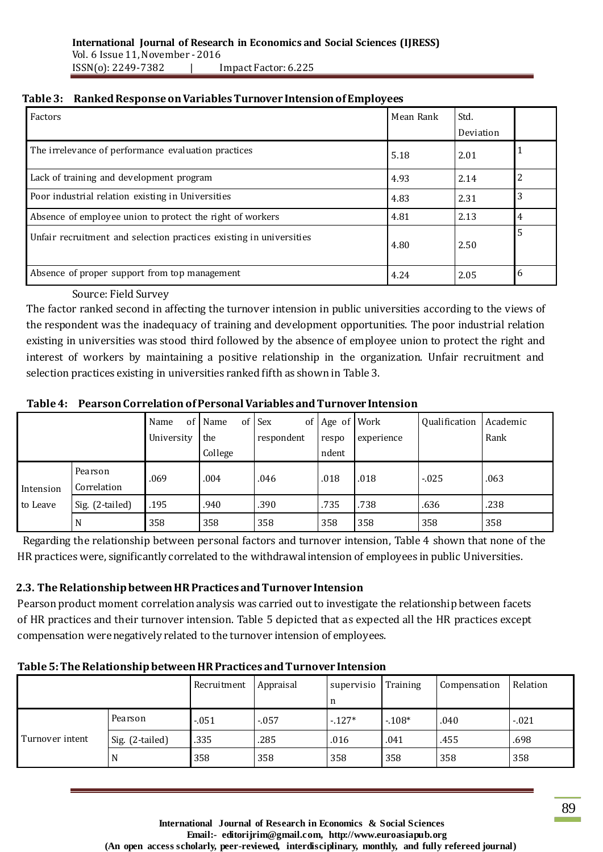|  | Table 3: Ranked Response on Variables Turnover Intension of Employees |  |
|--|-----------------------------------------------------------------------|--|
|--|-----------------------------------------------------------------------|--|

| Factors                                                             | Mean Rank | Std.      |   |
|---------------------------------------------------------------------|-----------|-----------|---|
|                                                                     |           | Deviation |   |
| The irrelevance of performance evaluation practices                 | 5.18      | 2.01      |   |
| Lack of training and development program                            | 4.93      | 2.14      | 2 |
| Poor industrial relation existing in Universities                   | 4.83      | 2.31      | 3 |
| Absence of employee union to protect the right of workers           | 4.81      | 2.13      | 4 |
| Unfair recruitment and selection practices existing in universities | 4.80      | 2.50      | 5 |
| Absence of proper support from top management                       | 4.24      | 2.05      | 6 |

## Source: Field Survey

The factor ranked second in affecting the turnover intension in public universities according to the views of the respondent was the inadequacy of training and development opportunities. The poor industrial relation existing in universities was stood third followed by the absence of employee union to protect the right and interest of workers by maintaining a positive relationship in the organization. Unfair recruitment and selection practices existing in universities ranked fifth as shown in Table 3.

|           |                 | Name       | of Name | of Sex     | of Age of Work |            | Qualification | Academic |
|-----------|-----------------|------------|---------|------------|----------------|------------|---------------|----------|
|           |                 | University | the     | respondent | respo          | experience |               | Rank     |
|           |                 |            | College |            | ndent          |            |               |          |
|           | Pearson         | .069       | .004    | .046       | .018           | .018       | $-0.025$      | .063     |
| Intension | Correlation     |            |         |            |                |            |               |          |
| to Leave  | Sig. (2-tailed) | .195       | .940    | .390       | .735           | .738       | .636          | .238     |
|           | N               | 358        | 358     | 358        | 358            | 358        | 358           | 358      |

Regarding the relationship between personal factors and turnover intension, Table 4 shown that none of the HR practices were, significantly correlated to the withdrawal intension of employees in public Universities.

# **2.3. TheRelationship between HR Practices and Turnover Intension**

Pearson product moment correlation analysis was carried out to investigate the relationship between facets of HR practices and their turnover intension. Table 5 depicted that as expected all the HR practices except compensation were negatively related to the turnover intension of employees.

## **Table 5: The Relationship between HR Practices and Turnover Intension**

|                 |                 | Recruitment | Appraisal | supervisio Training |         | Compensation | Relation |
|-----------------|-----------------|-------------|-----------|---------------------|---------|--------------|----------|
|                 |                 |             |           | n                   |         |              |          |
| Turnover intent | Pearson         | $-.051$     | $-0.057$  | $-127*$             | $-108*$ | .040         | $-021$   |
|                 | Sig. (2-tailed) | .335        | .285      | .016                | .041    | .455         | .698     |
|                 | N               | 358         | 358       | 358                 | 358     | 358          | 358      |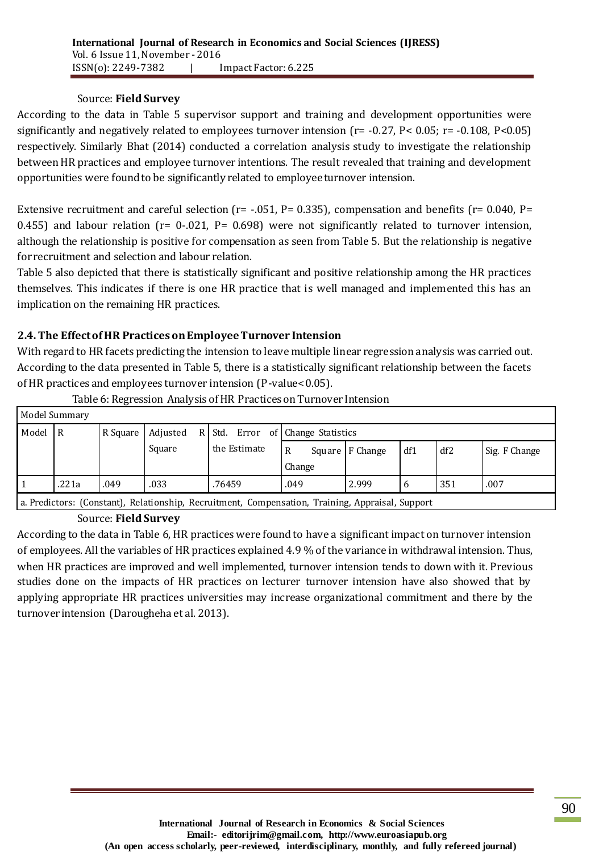#### Source: **Field Survey**

According to the data in Table 5 supervisor support and training and development opportunities were significantly and negatively related to employees turnover intension ( $r = -0.27$ ,  $P < 0.05$ ;  $r = -0.108$ ,  $P < 0.05$ ) respectively. Similarly Bhat (2014) conducted a correlation analysis study to investigate the relationship between HR practices and employee turnover intentions. The result revealed that training and development opportunities were found to be significantly related to employee turnover intension.

Extensive recruitment and careful selection ( $r = -0.051$ , P= 0.335), compensation and benefits ( $r = 0.040$ , P= 0.455) and labour relation ( $r= 0$ -.021,  $P= 0.698$ ) were not significantly related to turnover intension, although the relationship is positive for compensation as seen from Table 5. But the relationship is negative for recruitment and selection and labour relation.

Table 5 also depicted that there is statistically significant and positive relationship among the HR practices themselves. This indicates if there is one HR practice that is well managed and implemented this has an implication on the remaining HR practices.

## **2.4. The Effect of HR Practices on Employee Turnover Intension**

With regard to HR facets predicting the intension to leave multiple linear regression analysis was carried out. According to the data presented in Table 5, there is a statistically significant relationship between the facets of HR practices and employees turnover intension (P-value< 0.05).

| Model Summary |                |          |          |              |                                   |                   |     |     |               |  |
|---------------|----------------|----------|----------|--------------|-----------------------------------|-------------------|-----|-----|---------------|--|
| Model         | $\overline{R}$ | R Square | Adjusted |              | R Std. Error of Change Statistics |                   |     |     |               |  |
|               |                |          | Square   | the Estimate | $\mathbb{R}$<br>Change            | Square   F Change | df1 | df2 | Sig. F Change |  |
|               | .221a          | .049     | .033     | .76459       | .049                              | 2.999             | 6   | 351 | .007          |  |

Table 6: Regression Analysis of HR Practices on Turnover Intension

a. Predictors: (Constant), Relationship, Recruitment, Compensation, Training, Appraisal, Support

#### Source: **Field Survey**

According to the data in Table 6, HR practices were found to have a significant impact on turnover intension of employees. All the variables of HR practices explained 4.9 % of the variance in withdrawal intension. Thus, when HR practices are improved and well implemented, turnover intension tends to down with it. Previous studies done on the impacts of HR practices on lecturer turnover intension have also showed that by applying appropriate HR practices universities may increase organizational commitment and there by the turnover intension (Darougheha et al. 2013).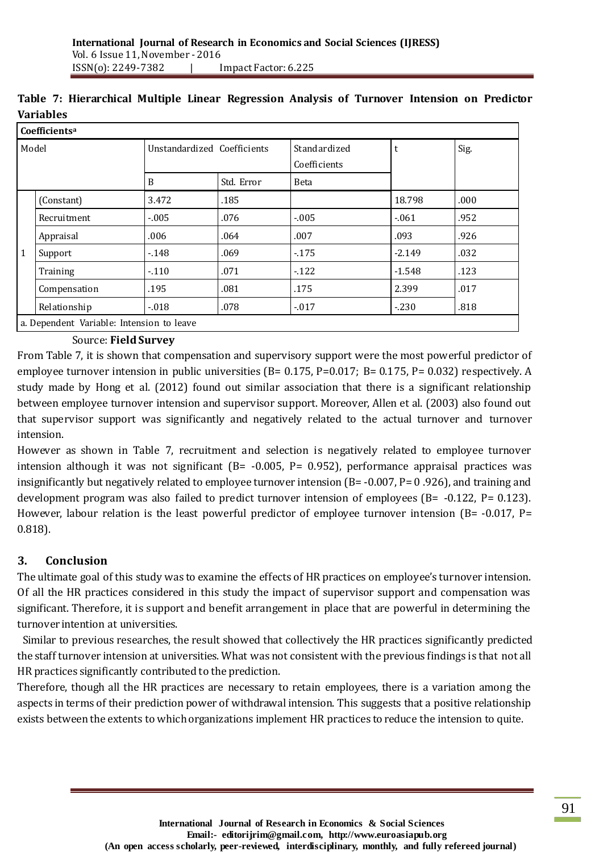|              | Coefficients <sup>a</sup>                 |                             |            |                              |          |      |  |  |  |
|--------------|-------------------------------------------|-----------------------------|------------|------------------------------|----------|------|--|--|--|
| Model        |                                           | Unstandardized Coefficients |            | Standardized<br>Coefficients | t        | Sig. |  |  |  |
|              |                                           | B                           | Std. Error | Beta                         |          |      |  |  |  |
|              | (Constant)                                | 3.472                       | .185       |                              | 18.798   | .000 |  |  |  |
|              | Recruitment                               | $-.005$                     | .076       | $-.005$                      | $-.061$  | .952 |  |  |  |
|              | Appraisal                                 | .006                        | .064       | .007                         | .093     | .926 |  |  |  |
| $\mathbf{1}$ | Support                                   | $-148$                      | .069       | $-175$                       | $-2.149$ | .032 |  |  |  |
|              | Training                                  | $-110$                      | .071       | $-122$                       | $-1.548$ | .123 |  |  |  |
|              | Compensation                              | .195                        | .081       | .175                         | 2.399    | .017 |  |  |  |
|              | Relationship                              | $-0.018$                    | .078       | $-0.017$                     | $-230$   | .818 |  |  |  |
|              | a. Dependent Variable: Intension to leave |                             |            |                              |          |      |  |  |  |

# **Table 7: Hierarchical Multiple Linear Regression Analysis of Turnover Intension on Predictor Variables**

#### Source: **Field Survey**

From Table 7, it is shown that compensation and supervisory support were the most powerful predictor of employee turnover intension in public universities (B= 0.175, P=0.017; B= 0.175, P= 0.032) respectively. A study made by Hong et al. (2012) found out similar association that there is a significant relationship between employee turnover intension and supervisor support. Moreover, Allen et al. (2003) also found out that supervisor support was significantly and negatively related to the actual turnover and turnover intension.

However as shown in Table 7, recruitment and selection is negatively related to employee turnover intension although it was not significant (B= -0.005, P= 0.952), performance appraisal practices was insignificantly but negatively related to employee turnover intension (B= -0.007, P= 0 .926), and training and development program was also failed to predict turnover intension of employees (B= -0.122, P= 0.123). However, labour relation is the least powerful predictor of employee turnover intension (B= -0.017, P= 0.818).

## **3. Conclusion**

The ultimate goal of this study was to examine the effects of HR practices on employee's turnover intension. Of all the HR practices considered in this study the impact of supervisor support and compensation was significant. Therefore, it is support and benefit arrangement in place that are powerful in determining the turnover intention at universities.

Similar to previous researches, the result showed that collectively the HR practices significantly predicted the staff turnover intension at universities. What was not consistent with the previous findings is that not all HR practices significantly contributed to the prediction.

Therefore, though all the HR practices are necessary to retain employees, there is a variation among the aspects in terms of their prediction power of withdrawal intension. This suggests that a positive relationship exists between the extents to which organizations implement HR practices to reduce the intension to quite.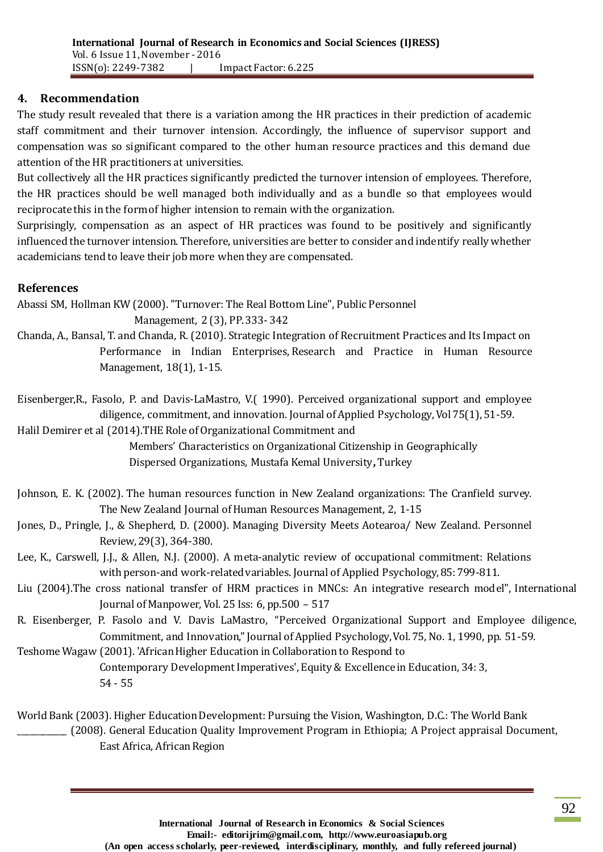## **4. Recommendation**

The study result revealed that there is a variation among the HR practices in their prediction of academic staff commitment and their turnover intension. Accordingly, the influence of supervisor support and compensation was so significant compared to the other human resource practices and this demand due attention of the HR practitioners at universities.

But collectively all the HR practices significantly predicted the turnover intension of employees. Therefore, the HR practices should be well managed both individually and as a bundle so that employees would reciprocate this in the form of higher intension to remain with the organization.

Surprisingly, compensation as an aspect of HR practices was found to be positively and significantly influenced the turnover intension. Therefore, universities are better to consider and indentify really whether academicians tend to leave their job more when they are compensated.

#### **References**

Abassi SM, Hollman KW (2000). "Turnover: The Real Bottom Line", Public Personnel Management, 2 (3), PP. 333- 342

Chanda, A., Bansal, T. and Chanda, R. (2010). Strategic Integration of Recruitment Practices and Its Impact on Performance in Indian Enterprises, Research and Practice in Human Resource Management, 18(1), 1-15.

Eisenberger,R., Fasolo, P. and Davis-LaMastro, V.( 1990). Perceived organizational support and employee diligence, commitment, and innovation. Journal of Applied Psychology, Vol 75(1), 51-59.

Halil Demirer et al (2014).THE Role of Organizational Commitment and

 Members' Characteristics on Organizational Citizenship in Geographically Dispersed Organizations, Mustafa Kemal University**,** Turkey

Johnson, E. K. (2002). The human resources function in New Zealand organizations: The Cranfield survey. The New Zealand Journal of Human Resources Management, 2, 1-15

Jones, D., Pringle, J., & Shepherd, D. (2000). Managing Diversity Meets Aotearoa/ New Zealand. Personnel Review, 29(3), 364-380.

- Lee, K., Carswell, J.J., & Allen, N.J. (2000). A meta-analytic review of occupational commitment: Relations with person-and work-related variables. Journal of Applied Psychology, 85: 799-811.
- Liu (2004).The cross national transfer of HRM practices in MNCs: An integrative research model", International Journal of Manpower, Vol. 25 Iss: 6, pp.500 – 517
- R. Eisenberger, P. Fasolo and V. Davis LaMastro, "Perceived Organizational Support and Employee diligence, Commitment, and Innovation," Journal of Applied Psychology, Vol. 75, No. 1, 1990, pp. 51-59.

Teshome Wagaw (2001). 'African Higher Education in Collaboration to Respond to Contemporary Development Imperatives', Equity & Excellence in Education, 34: 3, 54 - 55

World Bank (2003). Higher Education Development: Pursuing the Vision, Washington, D.C.: The World Bank \_\_\_\_\_\_\_\_\_\_\_\_ (2008). General Education Quality Improvement Program in Ethiopia; A Project appraisal Document, East Africa, African Region